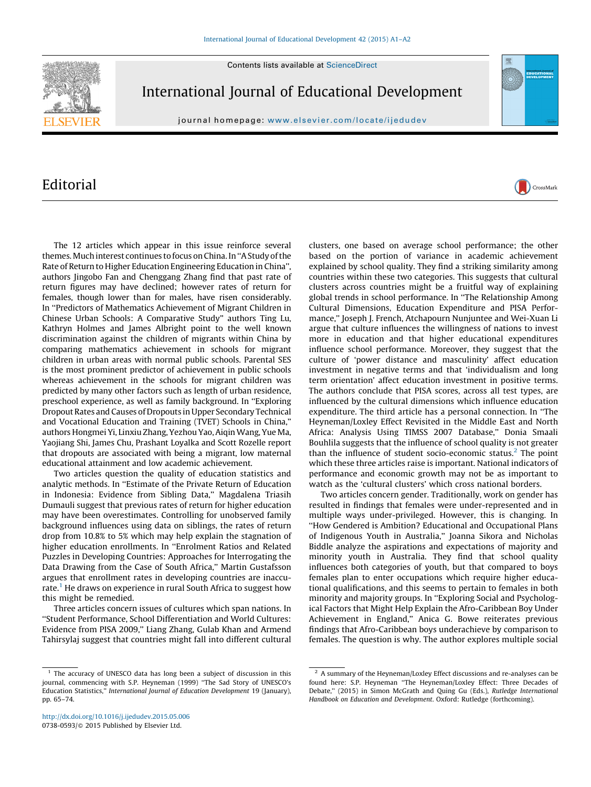Contents lists available at [ScienceDirect](http://www.sciencedirect.com/science/journal/07380593)



International Journal of Educational Development

journal homepage: <www.elsevier.com/locate/ijedudev>

## Editorial

The 12 articles which appear in this issue reinforce several themes. Much interest continues to focus on China. In ''A Study of the Rate of Return to Higher Education Engineering Education in China'', authors Jingobo Fan and Chenggang Zhang find that past rate of return figures may have declined; however rates of return for females, though lower than for males, have risen considerably. In ''Predictors of Mathematics Achievement of Migrant Children in Chinese Urban Schools: A Comparative Study'' authors Ting Lu, Kathryn Holmes and James Albright point to the well known discrimination against the children of migrants within China by comparing mathematics achievement in schools for migrant children in urban areas with normal public schools. Parental SES is the most prominent predictor of achievement in public schools whereas achievement in the schools for migrant children was predicted by many other factors such as length of urban residence, preschool experience, as well as family background. In ''Exploring Dropout Rates and Causes of Dropouts in Upper Secondary Technical and Vocational Education and Training (TVET) Schools in China,'' authors Hongmei Yi, Linxiu Zhang, Yezhou Yao, AiqinWang, Yue Ma, Yaojiang Shi, James Chu, Prashant Loyalka and Scott Rozelle report that dropouts are associated with being a migrant, low maternal educational attainment and low academic achievement.

Two articles question the quality of education statistics and analytic methods. In ''Estimate of the Private Return of Education in Indonesia: Evidence from Sibling Data,'' Magdalena Triasih Dumauli suggest that previous rates of return for higher education may have been overestimates. Controlling for unobserved family background influences using data on siblings, the rates of return drop from 10.8% to 5% which may help explain the stagnation of higher education enrollments. In ''Enrolment Ratios and Related Puzzles in Developing Countries: Approaches for Interrogating the Data Drawing from the Case of South Africa,'' Martin Gustafsson argues that enrollment rates in developing countries are inaccurate.<sup>1</sup> He draws on experience in rural South Africa to suggest how this might be remedied.

Three articles concern issues of cultures which span nations. In ''Student Performance, School Differentiation and World Cultures: Evidence from PISA 2009,'' Liang Zhang, Gulab Khan and Armend Tahirsylaj suggest that countries might fall into different cultural clusters, one based on average school performance; the other based on the portion of variance in academic achievement explained by school quality. They find a striking similarity among countries within these two categories. This suggests that cultural clusters across countries might be a fruitful way of explaining global trends in school performance. In ''The Relationship Among Cultural Dimensions, Education Expenditure and PISA Performance,'' Joseph J. French, Atchapourn Nunjuntee and Wei-Xuan Li argue that culture influences the willingness of nations to invest more in education and that higher educational expenditures influence school performance. Moreover, they suggest that the culture of 'power distance and masculinity' affect education investment in negative terms and that 'individualism and long term orientation' affect education investment in positive terms. The authors conclude that PISA scores, across all test types, are influenced by the cultural dimensions which influence education expenditure. The third article has a personal connection. In ''The Heyneman/Loxley Effect Revisited in the Middle East and North Africa: Analysis Using TIMSS 2007 Database,'' Donia Smaali Bouhlila suggests that the influence of school quality is not greater than the influence of student socio-economic status.<sup>2</sup> The point which these three articles raise is important. National indicators of performance and economic growth may not be as important to watch as the 'cultural clusters' which cross national borders.

CrossMark

Two articles concern gender. Traditionally, work on gender has resulted in findings that females were under-represented and in multiple ways under-privileged. However, this is changing. In ''How Gendered is Ambition? Educational and Occupational Plans of Indigenous Youth in Australia,'' Joanna Sikora and Nicholas Biddle analyze the aspirations and expectations of majority and minority youth in Australia. They find that school quality influences both categories of youth, but that compared to boys females plan to enter occupations which require higher educational qualifications, and this seems to pertain to females in both minority and majority groups. In ''Exploring Social and Psychological Factors that Might Help Explain the Afro-Caribbean Boy Under Achievement in England,'' Anica G. Bowe reiterates previous findings that Afro-Caribbean boys underachieve by comparison to females. The question is why. The author explores multiple social

<sup>&</sup>lt;sup>1</sup> The accuracy of UNESCO data has long been a subject of discussion in this journal, commencing with S.P. Heyneman (1999) ''The Sad Story of UNESCO's Education Statistics,'' International Journal of Education Development 19 (January), pp. 65–74.

<sup>&</sup>lt;sup>2</sup> A summary of the Heyneman/Loxley Effect discussions and re-analyses can be found here: S.P. Heyneman ''The Heyneman/Loxley Effect: Three Decades of Debate," (2015) in Simon McGrath and Quing Gu (Eds.), Rutledge International Handbook on Education and Development. Oxford: Rutledge (forthcoming).